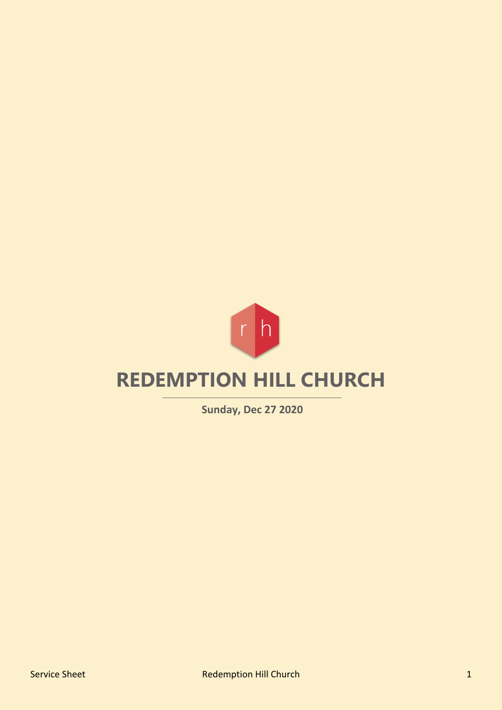

**Sunday, Dec 27 2020**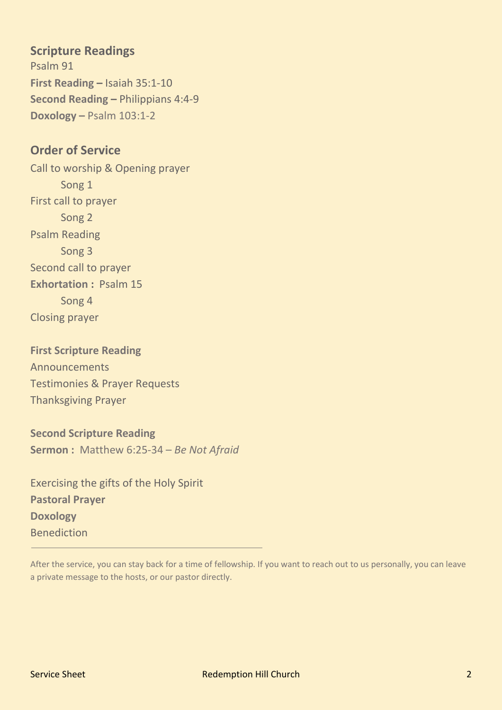# **Scripture Readings**

Psalm 91 **First Reading –** Isaiah 35:1-10 **Second Reading –** Philippians 4:4-9 **Doxology –** Psalm 103:1-2

# **Order of Service**

Call to worship & Opening prayer Song 1 First call to prayer Song 2 Psalm Reading Song 3 Second call to prayer **Exhortation :** Psalm 15 Song 4 Closing prayer

**First Scripture Reading** Announcements Testimonies & Prayer Requests Thanksgiving Prayer

### **Second Scripture Reading**

**Sermon :** Matthew 6:25-34 – *Be Not Afraid*

Exercising the gifts of the Holy Spirit **Pastoral Prayer Doxology** Benediction

After the service, you can stay back for a time of fellowship. If you want to reach out to us personally, you can leave a private message to the hosts, or our pastor directly.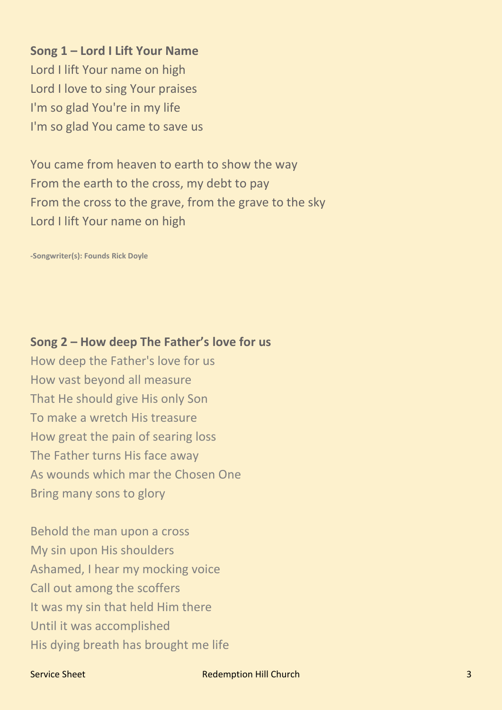**Song 1 – Lord I Lift Your Name**

Lord I lift Your name on high Lord I love to sing Your praises I'm so glad You're in my life I'm so glad You came to save us

You came from heaven to earth to show the way From the earth to the cross, my debt to pay From the cross to the grave, from the grave to the sky Lord I lift Your name on high

**-Songwriter(s): Founds Rick Doyle**

### **Song 2 – How deep The Father's love for us**

How deep the Father's love for us How vast beyond all measure That He should give His only Son To make a wretch His treasure How great the pain of searing loss The Father turns His face away As wounds which mar the Chosen One Bring many sons to glory

Behold the man upon a cross My sin upon His shoulders Ashamed, I hear my mocking voice Call out among the scoffers It was my sin that held Him there Until it was accomplished His dying breath has brought me life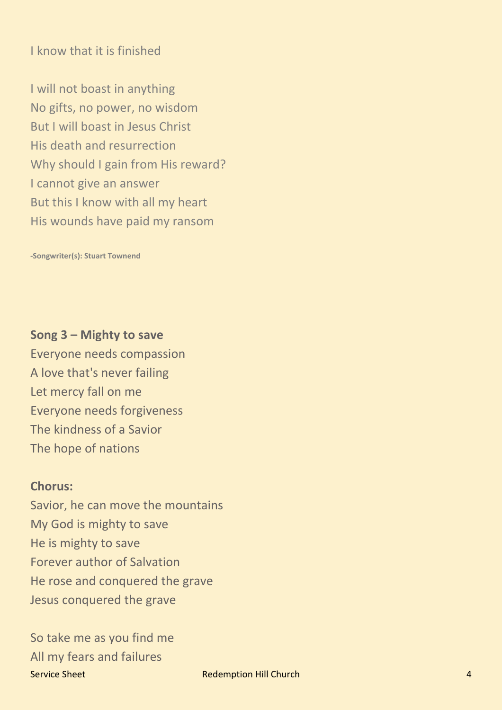# I know that it is finished

I will not boast in anything No gifts, no power, no wisdom But I will boast in Jesus Christ His death and resurrection Why should I gain from His reward? I cannot give an answer But this I know with all my heart His wounds have paid my ransom

**-Songwriter(s): Stuart Townend**

### **Song 3 – Mighty to save**

Everyone needs compassion A love that's never failing Let mercy fall on me Everyone needs forgiveness The kindness of a Savior The hope of nations

### **Chorus:**

Savior, he can move the mountains My God is mighty to save He is mighty to save Forever author of Salvation He rose and conquered the grave Jesus conquered the grave

**Service Sheet All Church 2008 Redemption Hill Church 2008 Redemption Hill Church 4** So take me as you find me All my fears and failures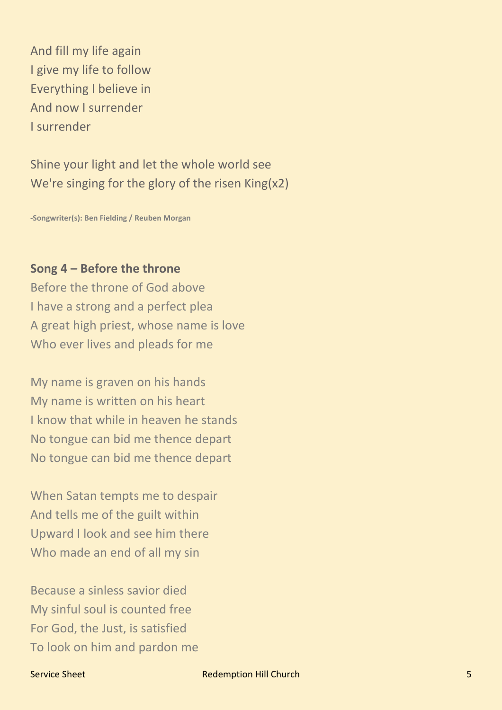And fill my life again I give my life to follow Everything I believe in And now I surrender I surrender

Shine your light and let the whole world see We're singing for the glory of the risen King(x2)

**-Songwriter(s): Ben Fielding / Reuben Morgan**

## **Song 4 – Before the throne**

Before the throne of God above I have a strong and a perfect plea A great high priest, whose name is love Who ever lives and pleads for me

My name is graven on his hands My name is written on his heart I know that while in heaven he stands No tongue can bid me thence depart No tongue can bid me thence depart

When Satan tempts me to despair And tells me of the guilt within Upward I look and see him there Who made an end of all my sin

Because a sinless savior died My sinful soul is counted free For God, the Just, is satisfied To look on him and pardon me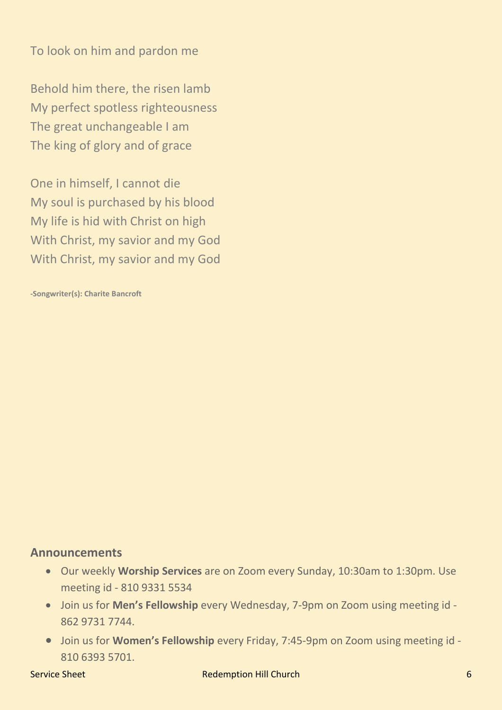To look on him and pardon me

Behold him there, the risen lamb My perfect spotless righteousness The great unchangeable I am The king of glory and of grace

One in himself, I cannot die My soul is purchased by his blood My life is hid with Christ on high With Christ, my savior and my God With Christ, my savior and my God

**-Songwriter(s): Charite Bancroft**

#### **Announcements**

- Our weekly **Worship Services** are on Zoom every Sunday, 10:30am to 1:30pm. Use meeting id - 810 9331 5534
- Join us for **Men's Fellowship** every Wednesday, 7-9pm on Zoom using meeting id 862 9731 7744.
- Join us for **Women's Fellowship** every Friday, 7:45-9pm on Zoom using meeting id 810 6393 5701.